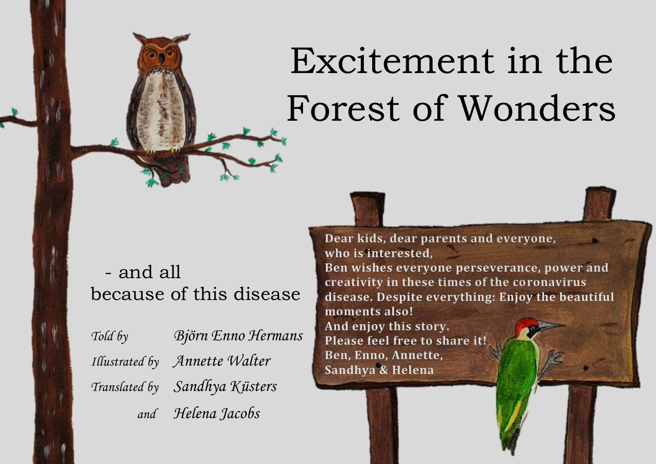## Excitement in the Forest of Wonders

- and all because of this disease

*Told by Björn Enno Hermans Illustrated by Annette Walter Translated by Sandhya Küsters and Helena Jacobs* 

**Dear kids, dear parents and everyone, who is interested, Ben wishes everyone perseverance, power and creativity in these times of the coronavirus disease. Despite everything: Enjoy the beautiful moments also! And enjoy this story. Please feel free to share it! Ben, Enno, Annette, Sandhya & Helena**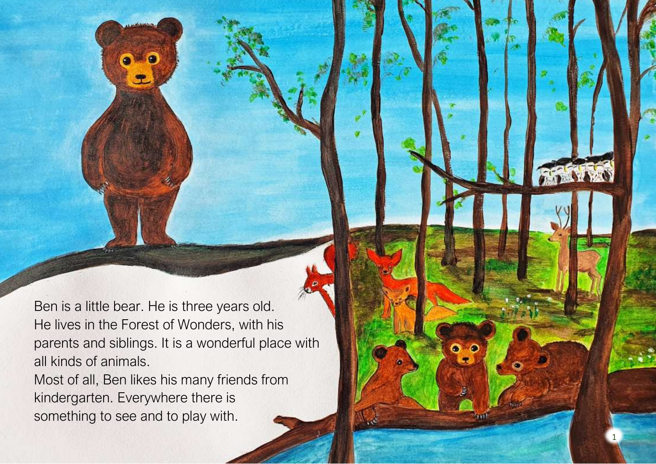Ben is a little bear. He is three years old. He lives in the Forest of Wonders, with his parents and siblings. It is a wonderful place with all kinds of animals.

1

Most of all, Ben likes his many friends from kindergarten. Everywhere there is something to see and to play with.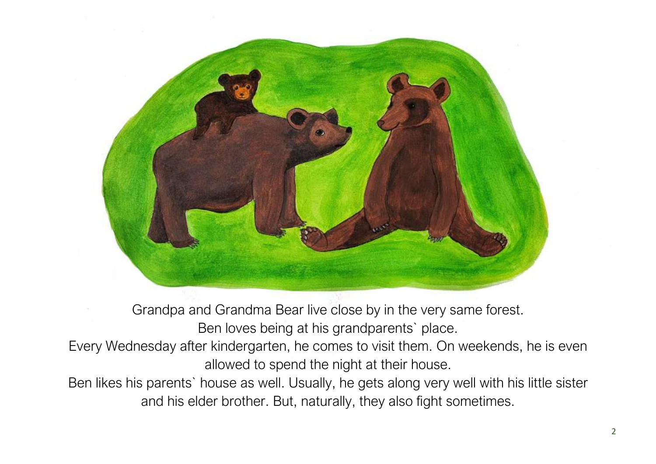

Grandpa and Grandma Bear live close by in the very same forest. Ben loves being at his grandparents` place.

Every Wednesday after kindergarten, he comes to visit them. On weekends, he is even allowed to spend the night at their house.

Ben likes his parents` house as well. Usually, he gets along very well with his little sister and his elder brother. But, naturally, they also fight sometimes.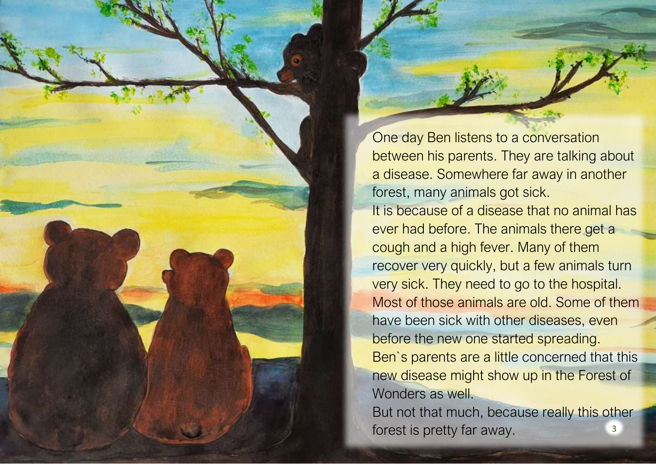One day Ben listens to a conversation between his parents. They are talking about a disease. Somewhere far away in another forest, many animals got sick. It is because of a disease that no animal has ever had before. The animals there get a cough and a high fever. Many of them recover very quickly, but a few animals turn very sick. They need to go to the hospital. Most of those animals are old. Some of them have been sick with other diseases, even before the new one started spreading. Ben`s parents are a little concerned that this new disease might show up in the Forest of Wonders as well. But not that much, because really this other

forest is pretty far away.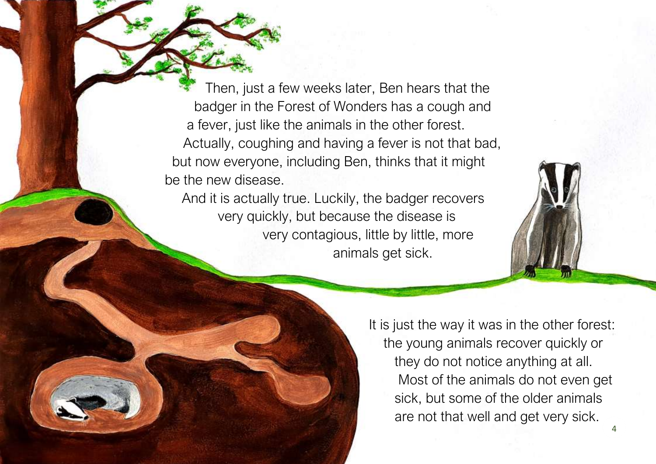Then, just a few weeks later, Ben hears that the badger in the Forest of Wonders has a cough and a fever, just like the animals in the other forest. Actually, coughing and having a fever is not that bad, but now everyone, including Ben, thinks that it might be the new disease.

And it is actually true. Luckily, the badger recovers very quickly, but because the disease is very contagious, little by little, more animals get sick.



It is just the way it was in the other forest: the young animals recover quickly or they do not notice anything at all. Most of the animals do not even get sick, but some of the older animals are not that well and get very sick.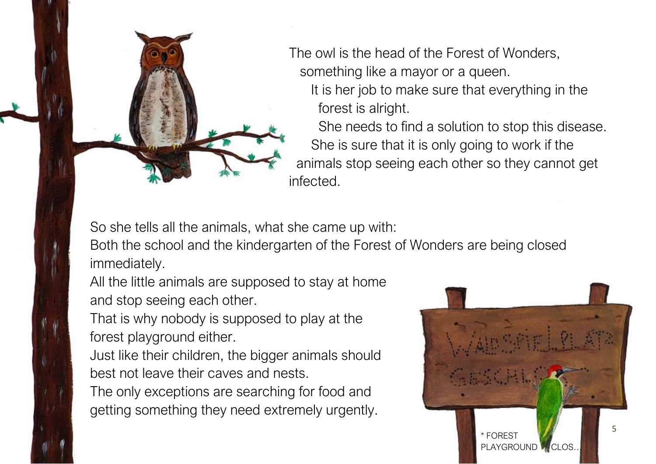

The owl is the head of the Forest of Wonders, something like a mayor or a queen.

 It is her job to make sure that everything in the forest is alright.

 She needs to find a solution to stop this disease. She is sure that it is only going to work if the animals stop seeing each other so they cannot get infected.

So she tells all the animals, what she came up with:

Both the school and the kindergarten of the Forest of Wonders are being closed immediately.

All the little animals are supposed to stay at home and stop seeing each other.

That is why nobody is supposed to play at the forest playground either.

Just like their children, the bigger animals should best not leave their caves and nests.

The only exceptions are searching for food and getting something they need extremely urgently.

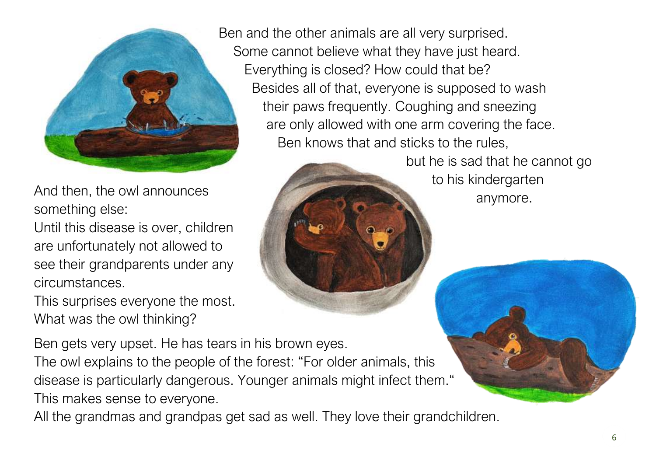

And then, the owl announces something else:

ſ Until this disease is over, children are unfortunately not allowed to see their grandparents under any circumstances.

This surprises everyone the most. What was the owl thinking?

 Some cannot believe what they have just heard. Everything is closed? How could that be? Besides all of that, everyone is supposed to wash their paws frequently. Coughing and sneezing are only allowed with one arm covering the face. Ben knows that and sticks to the rules,



 but he is sad that he cannot go to his kindergarten anymore.

Ben gets very upset. He has tears in his brown eyes.

The owl explains to the people of the forest: "For older animals, this disease is particularly dangerous. Younger animals might infect them." This makes sense to everyone.

All the grandmas and grandpas get sad as well. They love their grandchildren.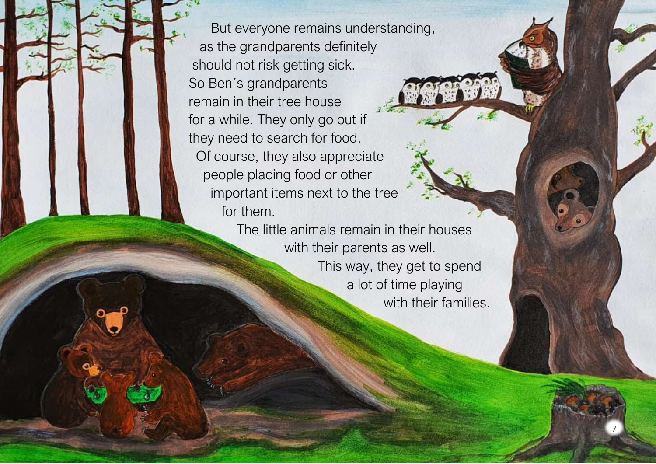But everyone remains understanding, as the grandparents definitely should not risk getting sick. So Ben´s grandparents remain in their tree house for a while. They only go out if they need to search for food. Of course, they also appreciate people placing food or other important items next to the tree for them.

> The little animals remain in their houses with their parents as well. This way, they get to spend a lot of time playing with their families.

> > 7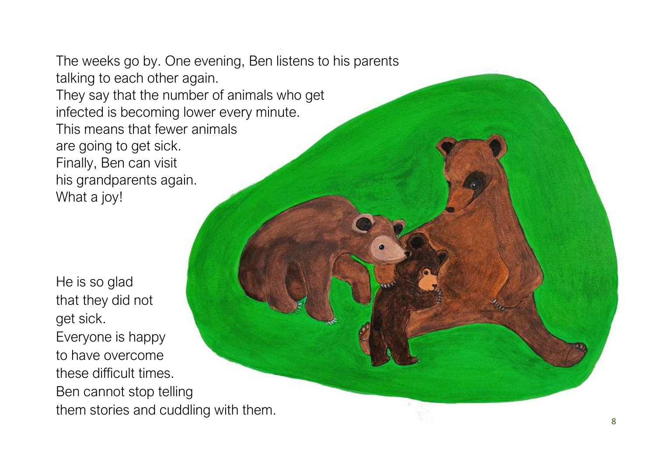The weeks go by. One evening, Ben listens to his parents talking to each other again. They say that the number of animals who get infected is becoming lower every minute. This means that fewer animals are going to get sick. Finally, Ben can visit his grandparents again. What a joy!

He is so glad that they did not get sick. Everyone is happy to have overcome these difficult times. Ben cannot stop telling them stories and cuddling with them.